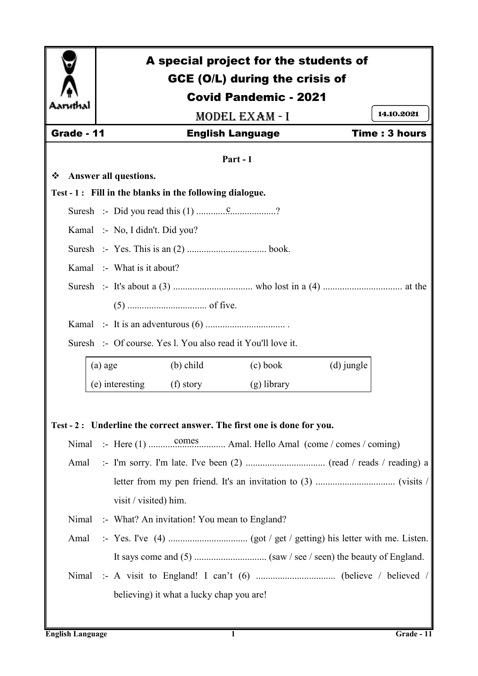

# A special project for the students of GCE (O/L) during the crisis of Covid Pandemic - 2021 Model Exam - I Grade - 11 **English Language** Time : 3 hours **Part - I Answer all questions. Test - 1 : Fill in the blanks in the following dialogue.** Suresh :- Did you read this (1) ................................? Kamal :- No, I didn't. Did you? Suresh :- Yes. This is an (2) ................................. book. Kamal :- What is it about? Suresh :- It's about a (3) ................................. who lost in a (4) ................................. at the (5) ................................. of five. Kamal :- It is an adventurous (6) ................................. . 14.10.2021

Suresh :- Of course. Yes l. You also read it You'll love it.

| (a) age         | $(b)$ child | (c) book      | (d) jungle |
|-----------------|-------------|---------------|------------|
| (e) interesting | (f) story   | $(g)$ library |            |

**Test - 2 : Underline the correct answer. The first one is done for you.**

Nimal :- Here (1) ................................ Amal. Hello Amal (come / comes / coming) comes

- Amal :- I'm sorry. I'm late. I've been (2) ................................. (read / reads / reading) a letter from my pen friend. It's an invitation to (3) ................................. (visits / visit / visited) him.
- Nimal :- What? An invitation! You mean to England?
- Amal :- Yes. I've (4) ................................. (got / get / getting) his letter with me. Listen. It says come and (5) .............................. (saw / see / seen) the beauty of England.
- Nimal :- A visit to England! I can't (6) ................................. (believe / believed / believing) it what a lucky chap you are!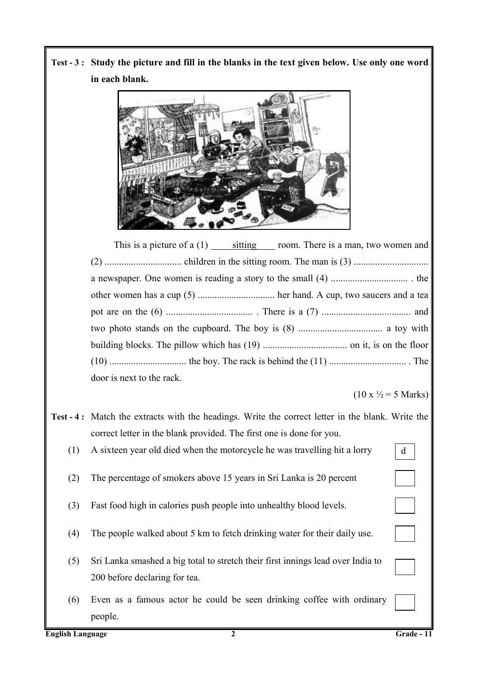**Test - 3 : Study the picture and fill in the blanks in the text given below. Use only one word in each blank.**



This is a picture of a  $(1)$  sitting room. There is a man, two women and (2) ................................ children in the sitting room. The man is (3) ............................... a newspaper. One women is reading a story to the small (4) ................................ . the other women has a cup (5) ................................ her hand. A cup, two saucers and a tea pot are on the (6) .................................... . There is a (7) ..................................... and two photo stands on the cupboard. The boy is (8) ................................... a toy with building blocks. The pillow which has (19) ................................... on it, is on the floor (10) ................................ the boy. The rack is behind the (11) ................................ . The door is next to the rack.

 $(10 \text{ x } \frac{1}{2} = 5 \text{ Marks})$ 

d

- **Test - 4 :** Match the extracts with the headings. Write the correct letter in the blank. Write the correct letter in the blank provided. The first one is done for you.
	- (1) A sixteen year old died when the motorcycle he was travelling hit a lorry
	- (2) The percentage of smokers above 15 years in Sri Lanka is 20 percent
	- (3) Fast food high in calories push people into unhealthy blood levels.
	- (4) The people walked about 5 km to fetch drinking water for their daily use.
	- (5) Sri Lanka smashed a big total to stretch their first innings lead over India to 200 before declaring for tea.
	- (6) Even as a famous actor he could be seen drinking coffee with ordinary people.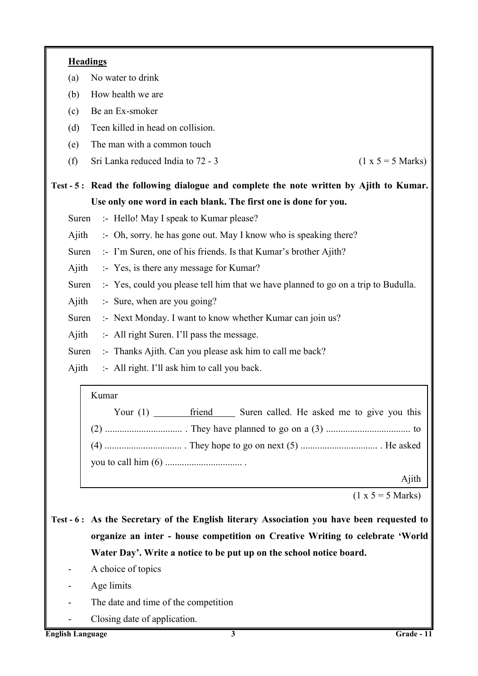| <b>Headings</b>                                                                                                                                                            |  |  |  |  |
|----------------------------------------------------------------------------------------------------------------------------------------------------------------------------|--|--|--|--|
| No water to drink<br>(a)                                                                                                                                                   |  |  |  |  |
| How health we are<br>(b)                                                                                                                                                   |  |  |  |  |
| Be an Ex-smoker<br>(c)                                                                                                                                                     |  |  |  |  |
| Teen killed in head on collision.<br>(d)                                                                                                                                   |  |  |  |  |
| The man with a common touch<br>(e)                                                                                                                                         |  |  |  |  |
| Sri Lanka reduced India to 72 - 3<br>$(1 x 5 = 5 Marks)$<br>(f)                                                                                                            |  |  |  |  |
| Test - 5: Read the following dialogue and complete the note written by Ajith to Kumar.                                                                                     |  |  |  |  |
| Use only one word in each blank. The first one is done for you.                                                                                                            |  |  |  |  |
| :- Hello! May I speak to Kumar please?<br>Suren                                                                                                                            |  |  |  |  |
| Ajith<br>:- Oh, sorry. he has gone out. May I know who is speaking there?                                                                                                  |  |  |  |  |
| Suren<br>:- I'm Suren, one of his friends. Is that Kumar's brother Ajith?                                                                                                  |  |  |  |  |
| Ajith<br>:- Yes, is there any message for Kumar?                                                                                                                           |  |  |  |  |
| Suren<br>:- Yes, could you please tell him that we have planned to go on a trip to Budulla.                                                                                |  |  |  |  |
| Ajith<br>$\therefore$ Sure, when are you going?                                                                                                                            |  |  |  |  |
| :- Next Monday. I want to know whether Kumar can join us?<br>Suren                                                                                                         |  |  |  |  |
| :- All right Suren. I'll pass the message.<br>Ajith                                                                                                                        |  |  |  |  |
| Suren<br>:- Thanks Ajith. Can you please ask him to call me back?                                                                                                          |  |  |  |  |
| Ajith<br>:- All right. I'll ask him to call you back.                                                                                                                      |  |  |  |  |
| Kumar                                                                                                                                                                      |  |  |  |  |
| friend Suren called. He asked me to give you this                                                                                                                          |  |  |  |  |
|                                                                                                                                                                            |  |  |  |  |
|                                                                                                                                                                            |  |  |  |  |
|                                                                                                                                                                            |  |  |  |  |
| Ajith                                                                                                                                                                      |  |  |  |  |
| $(1 x 5 = 5 Marks)$                                                                                                                                                        |  |  |  |  |
|                                                                                                                                                                            |  |  |  |  |
| Test - 6: As the Secretary of the English literary Association you have been requested to<br>organize an inter - house competition on Creative Writing to celebrate 'World |  |  |  |  |
| Water Day'. Write a notice to be put up on the school notice board.                                                                                                        |  |  |  |  |
| A choice of topics                                                                                                                                                         |  |  |  |  |
| Age limits                                                                                                                                                                 |  |  |  |  |
| The date and time of the competition                                                                                                                                       |  |  |  |  |
| Closing date of application.                                                                                                                                               |  |  |  |  |
| Grade - 11<br><b>English Language</b><br>3                                                                                                                                 |  |  |  |  |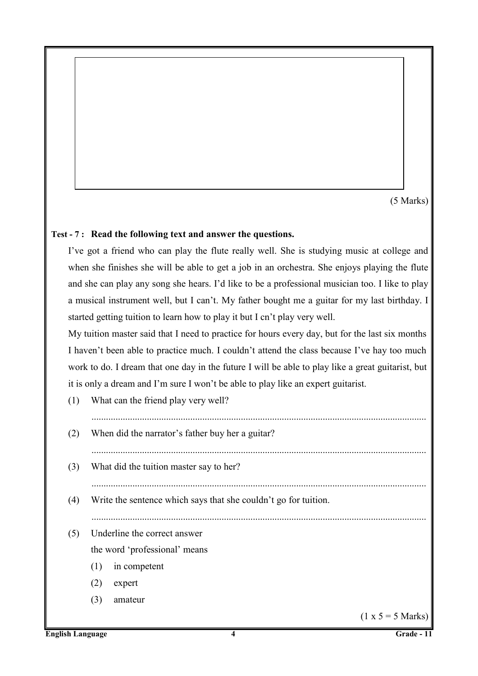(5 Marks)

# **Test - 7 : Read the following text and answer the questions.**

I've got a friend who can play the flute really well. She is studying music at college and when she finishes she will be able to get a job in an orchestra. She enjoys playing the flute and she can play any song she hears. I'd like to be a professional musician too. I like to play a musical instrument well, but I can't. My father bought me a guitar for my last birthday. I started getting tuition to learn how to play it but I cn't play very well.

My tuition master said that I need to practice for hours every day, but for the last six months I haven't been able to practice much. I couldn't attend the class because I've hay too much work to do. I dream that one day in the future I will be able to play like a great guitarist, but it is only a dream and I'm sure I won't be able to play like an expert guitarist.

(1) What can the friend play very well? (2) When did the narrator's father buy her a guitar? ........................................................................................................................................... (3) What did the tuition master say to her? ........................................................................................................................................... (4) Write the sentence which says that she couldn't go for tuition. ........................................................................................................................................... (5) Underline the correct answer the word 'professional' means (1) in competent (2) expert (3) amateur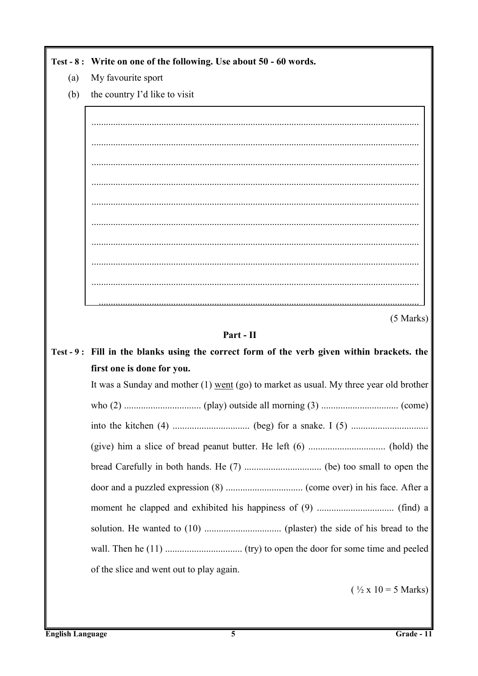|     | Test - 8: Write on one of the following. Use about 50 - 60 words.                          |
|-----|--------------------------------------------------------------------------------------------|
| (a) | My favourite sport                                                                         |
| (b) | the country I'd like to visit                                                              |
|     |                                                                                            |
|     |                                                                                            |
|     |                                                                                            |
|     |                                                                                            |
|     |                                                                                            |
|     |                                                                                            |
|     |                                                                                            |
|     |                                                                                            |
|     |                                                                                            |
|     |                                                                                            |
|     | $(5$ Marks)                                                                                |
|     | Part - II                                                                                  |
|     | Test - 9: Fill in the blanks using the correct form of the verb given within brackets. the |
|     | first one is done for you.                                                                 |
|     | It was a Sunday and mother $(1)$ went $(go)$ to market as usual. My three year old brother |
|     |                                                                                            |
|     |                                                                                            |
|     |                                                                                            |
|     |                                                                                            |
|     |                                                                                            |
|     |                                                                                            |
|     |                                                                                            |
|     |                                                                                            |
|     | of the slice and went out to play again.                                                   |
|     | $(\frac{1}{2} \times 10 = 5 \text{ Marks})$                                                |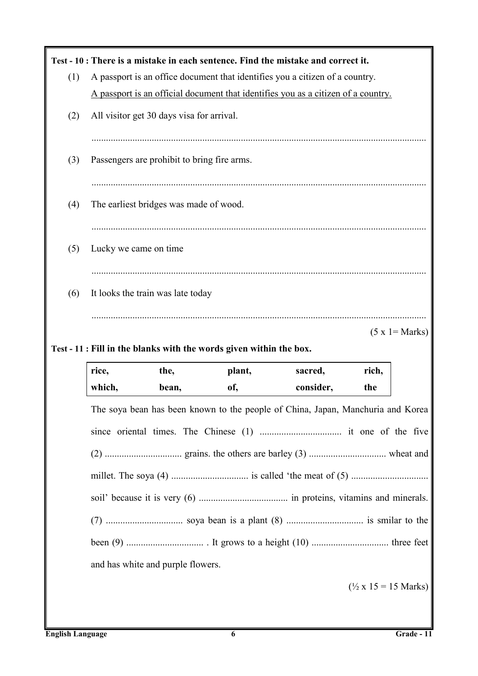|     |        |                                             |                                                                     | Test - 10 : There is a mistake in each sentence. Find the mistake and correct it.                              |                                              |                   |
|-----|--------|---------------------------------------------|---------------------------------------------------------------------|----------------------------------------------------------------------------------------------------------------|----------------------------------------------|-------------------|
| (1) |        |                                             |                                                                     | A passport is an office document that identifies you a citizen of a country.                                   |                                              |                   |
|     |        |                                             |                                                                     | A passport is an official document that identifies you as a citizen of a country.                              |                                              |                   |
| (2) |        | All visitor get 30 days visa for arrival.   |                                                                     |                                                                                                                |                                              |                   |
|     |        |                                             |                                                                     |                                                                                                                |                                              |                   |
| (3) |        | Passengers are prohibit to bring fire arms. |                                                                     |                                                                                                                |                                              |                   |
| (4) |        | The earliest bridges was made of wood.      |                                                                     |                                                                                                                |                                              |                   |
| (5) |        | Lucky we came on time                       |                                                                     |                                                                                                                |                                              |                   |
| (6) |        | It looks the train was late today           |                                                                     |                                                                                                                |                                              |                   |
|     |        |                                             |                                                                     |                                                                                                                |                                              | $(5 x 1 = Marks)$ |
|     |        |                                             | Test - 11 : Fill in the blanks with the words given within the box. |                                                                                                                |                                              |                   |
|     | rice,  | the,                                        | plant,                                                              | sacred,                                                                                                        | rich,                                        |                   |
|     | which, | bean,                                       | of,                                                                 | consider,                                                                                                      | the                                          |                   |
|     |        |                                             |                                                                     | The soya bean has been known to the people of China, Japan, Manchuria and Korea                                |                                              |                   |
|     |        |                                             |                                                                     |                                                                                                                |                                              |                   |
|     |        |                                             |                                                                     |                                                                                                                |                                              |                   |
|     |        |                                             |                                                                     | millet. The soya (4) $\ldots$ $\ldots$ $\ldots$ is called 'the meat of (5) $\ldots$ $\ldots$ $\ldots$ $\ldots$ |                                              |                   |
|     |        |                                             |                                                                     |                                                                                                                |                                              |                   |
|     |        |                                             |                                                                     |                                                                                                                |                                              |                   |
|     |        |                                             |                                                                     |                                                                                                                |                                              |                   |
|     |        | and has white and purple flowers.           |                                                                     |                                                                                                                |                                              |                   |
|     |        |                                             |                                                                     |                                                                                                                |                                              |                   |
|     |        |                                             |                                                                     |                                                                                                                | $(\frac{1}{2} \times 15 = 15 \text{ Marks})$ |                   |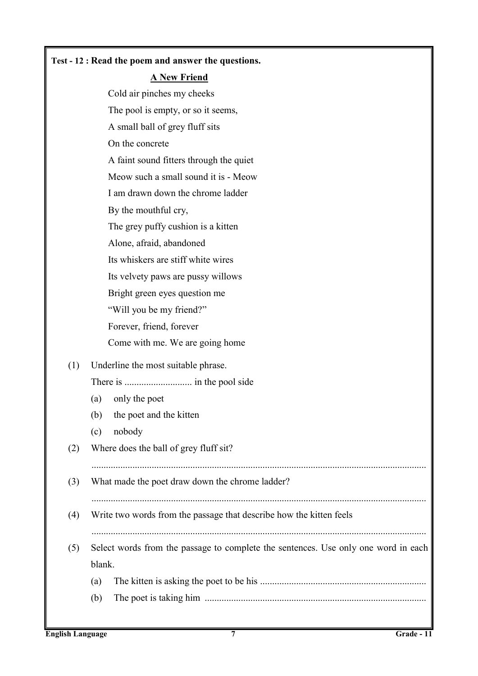### **Test - 12 : Read the poem and answer the questions.**

### **A New Friend**

Cold air pinches my cheeks The pool is empty, or so it seems, A small ball of grey fluff sits On the concrete A faint sound fitters through the quiet Meow such a small sound it is - Meow I am drawn down the chrome ladder By the mouthful cry, The grey puffy cushion is a kitten Alone, afraid, abandoned Its whiskers are stiff white wires Its velvety paws are pussy willows Bright green eyes question me "Will you be my friend?" Forever, friend, forever Come with me. We are going home (1) Underline the most suitable phrase. There is ............................ in the pool side (a) only the poet (b) the poet and the kitten (c) nobody (2) Where does the ball of grey fluff sit? (3) What made the poet draw down the chrome ladder? ........................................................................................................................................... (4) Write two words from the passage that describe how the kitten feels ........................................................................................................................................... (5) Select words from the passage to complete the sentences. Use only one word in each blank. (a) The kitten is asking the poet to be his ..................................................................... (b) The poet is taking him ............................................................................................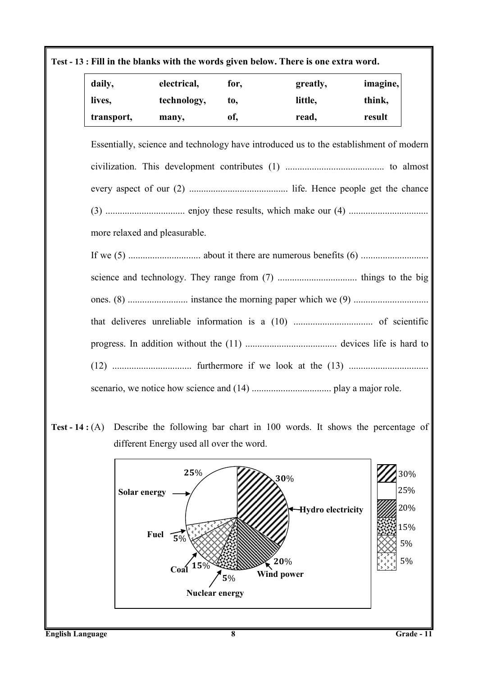# **Test - 13 : Fill in the blanks with the words given below. There is one extra word.**

| daily,     | electrical, | for, | greatly, | imagine, |
|------------|-------------|------|----------|----------|
| lives,     | technology, | to.  | little,  | think,   |
| transport, | many,       | of,  | read,    | result   |

Essentially, science and technology have introduced us to the establishment of modern civilization. This development contributes (1) ......................................... to almost every aspect of our (2) ......................................... life. Hence people get the chance (3) ................................. enjoy these results, which make our (4) ................................. more relaxed and pleasurable. If we (5) .............................. about it there are numerous benefits (6) ............................

science and technology. They range from (7) ................................. things to the big ones. (8) ......................... instance the morning paper which we (9) ............................... that deliveres unreliable information is a (10) ................................. of scientific progress. In addition without the (11) ...................................... devices life is hard to (12) ................................. furthermore if we look at the (13) ................................. scenario, we notice how science and (14) ................................. play a major role.

**Test - 14 :** (A) Describe the following bar chart in 100 words. It shows the percentage of different Energy used all over the word.

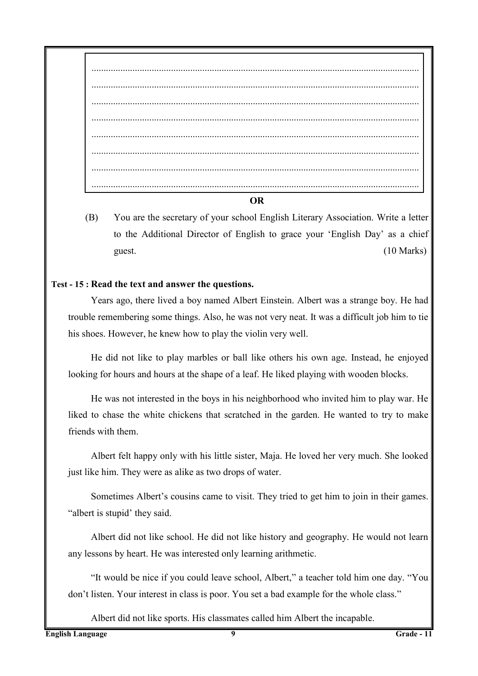#### **OR**

(B) You are the secretary of your school English Literary Association. Write a letter to the Additional Director of English to grace your 'English Day' as a chief guest. (10 Marks)

# **Test - 15 : Read the text and answer the questions.**

Years ago, there lived a boy named Albert Einstein. Albert was a strange boy. He had trouble remembering some things. Also, he was not very neat. It was a difficult job him to tie his shoes. However, he knew how to play the violin very well.

He did not like to play marbles or ball like others his own age. Instead, he enjoyed looking for hours and hours at the shape of a leaf. He liked playing with wooden blocks.

He was not interested in the boys in his neighborhood who invited him to play war. He liked to chase the white chickens that scratched in the garden. He wanted to try to make friends with them.

Albert felt happy only with his little sister, Maja. He loved her very much. She looked just like him. They were as alike as two drops of water.

Sometimes Albert's cousins came to visit. They tried to get him to join in their games. "albert is stupid' they said.

Albert did not like school. He did not like history and geography. He would not learn any lessons by heart. He was interested only learning arithmetic.

"It would be nice if you could leave school, Albert," a teacher told him one day. "You don't listen. Your interest in class is poor. You set a bad example for the whole class."

Albert did not like sports. His classmates called him Albert the incapable.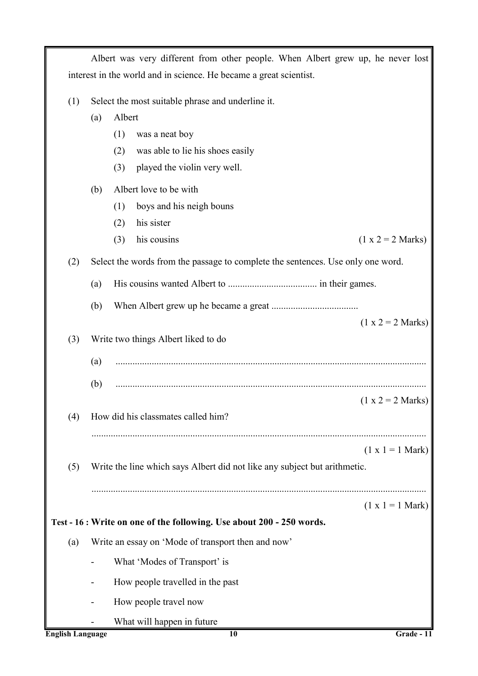|                         |                                                   | Albert was very different from other people. When Albert grew up, he never lost |                     |
|-------------------------|---------------------------------------------------|---------------------------------------------------------------------------------|---------------------|
|                         |                                                   | interest in the world and in science. He became a great scientist.              |                     |
| (1)                     | Select the most suitable phrase and underline it. |                                                                                 |                     |
|                         | (a)                                               | Albert                                                                          |                     |
|                         |                                                   | (1)<br>was a neat boy                                                           |                     |
|                         |                                                   | was able to lie his shoes easily<br>(2)                                         |                     |
|                         |                                                   | played the violin very well.<br>(3)                                             |                     |
|                         | (b)                                               | Albert love to be with                                                          |                     |
|                         |                                                   | boys and his neigh bouns<br>(1)                                                 |                     |
|                         |                                                   | his sister<br>(2)                                                               |                     |
|                         |                                                   | his cousins<br>(3)                                                              | $(1 x 2 = 2 Marks)$ |
| (2)                     |                                                   | Select the words from the passage to complete the sentences. Use only one word. |                     |
|                         | (a)                                               |                                                                                 |                     |
|                         | (b)                                               |                                                                                 |                     |
|                         |                                                   |                                                                                 | $(1 x 2 = 2 Marks)$ |
| (3)                     |                                                   | Write two things Albert liked to do                                             |                     |
|                         | (a)                                               |                                                                                 |                     |
|                         | (b)                                               |                                                                                 |                     |
|                         |                                                   |                                                                                 | $(1 x 2 = 2 Marks)$ |
| (4)                     |                                                   | How did his classmates called him?                                              |                     |
|                         |                                                   |                                                                                 |                     |
|                         |                                                   |                                                                                 | $(1 x 1 = 1 Mark)$  |
| (5)                     |                                                   | Write the line which says Albert did not like any subject but arithmetic.       |                     |
|                         |                                                   |                                                                                 |                     |
|                         |                                                   |                                                                                 | $(1 x 1 = 1 Mark)$  |
|                         |                                                   | Test - 16 : Write on one of the following. Use about 200 - 250 words.           |                     |
| (a)                     |                                                   | Write an essay on 'Mode of transport then and now'                              |                     |
|                         |                                                   | What 'Modes of Transport' is                                                    |                     |
|                         |                                                   | How people travelled in the past                                                |                     |
|                         |                                                   | How people travel now                                                           |                     |
|                         |                                                   | What will happen in future                                                      |                     |
| <b>English Language</b> |                                                   | 10                                                                              | Grade - 11          |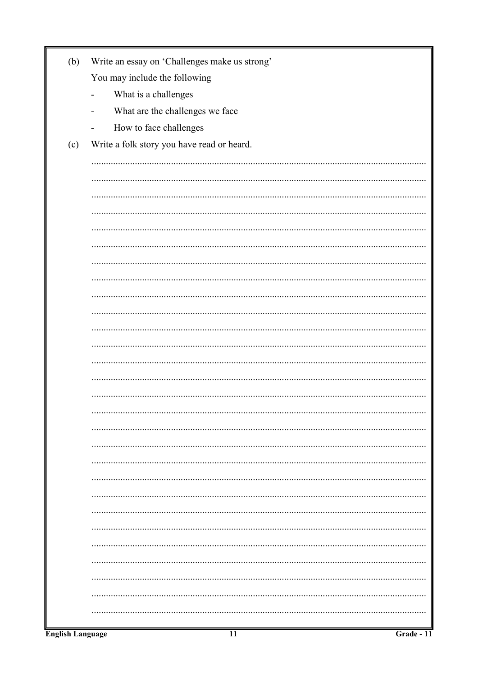| (b) | Write an essay on 'Challenges make us strong'               |
|-----|-------------------------------------------------------------|
|     | You may include the following                               |
|     | What is a challenges<br>$\blacksquare$                      |
|     | What are the challenges we face<br>$\overline{\phantom{0}}$ |
|     | How to face challenges<br>$\overline{\phantom{a}}$          |
| (c) | Write a folk story you have read or heard.                  |
|     |                                                             |
|     |                                                             |
|     |                                                             |
|     |                                                             |
|     |                                                             |
|     |                                                             |
|     |                                                             |
|     |                                                             |
|     |                                                             |
|     |                                                             |
|     |                                                             |
|     |                                                             |
|     |                                                             |
|     |                                                             |
|     |                                                             |
|     |                                                             |
|     |                                                             |
|     |                                                             |
|     |                                                             |
|     |                                                             |
|     |                                                             |
|     |                                                             |
|     |                                                             |
|     |                                                             |
|     |                                                             |
|     |                                                             |
|     |                                                             |
|     |                                                             |